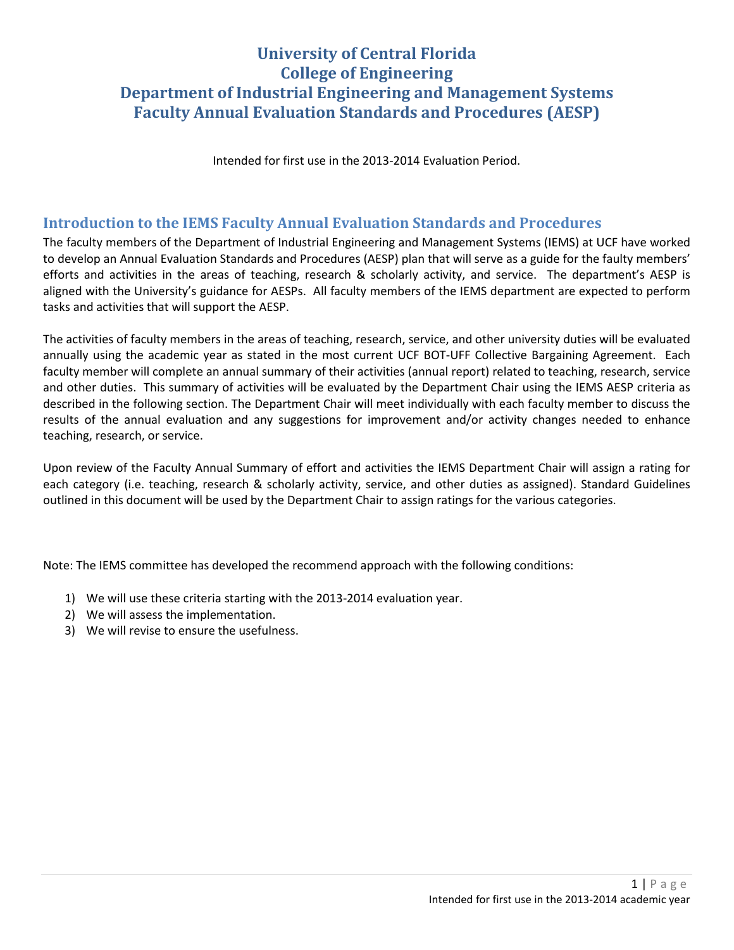# **University of Central Florida College of Engineering Department of Industrial Engineering and Management Systems Faculty Annual Evaluation Standards and Procedures (AESP)**

Intended for first use in the 2013-2014 Evaluation Period.

### **Introduction to the IEMS Faculty Annual Evaluation Standards and Procedures**

The faculty members of the Department of Industrial Engineering and Management Systems (IEMS) at UCF have worked to develop an Annual Evaluation Standards and Procedures (AESP) plan that will serve as a guide for the faulty members' efforts and activities in the areas of teaching, research & scholarly activity, and service. The department's AESP is aligned with the University's guidance for AESPs. All faculty members of the IEMS department are expected to perform tasks and activities that will support the AESP.

The activities of faculty members in the areas of teaching, research, service, and other university duties will be evaluated annually using the academic year as stated in the most current UCF BOT-UFF Collective Bargaining Agreement. Each faculty member will complete an annual summary of their activities (annual report) related to teaching, research, service and other duties. This summary of activities will be evaluated by the Department Chair using the IEMS AESP criteria as described in the following section. The Department Chair will meet individually with each faculty member to discuss the results of the annual evaluation and any suggestions for improvement and/or activity changes needed to enhance teaching, research, or service.

Upon review of the Faculty Annual Summary of effort and activities the IEMS Department Chair will assign a rating for each category (i.e. teaching, research & scholarly activity, service, and other duties as assigned). Standard Guidelines outlined in this document will be used by the Department Chair to assign ratings for the various categories.

Note: The IEMS committee has developed the recommend approach with the following conditions:

- 1) We will use these criteria starting with the 2013-2014 evaluation year.
- 2) We will assess the implementation.
- 3) We will revise to ensure the usefulness.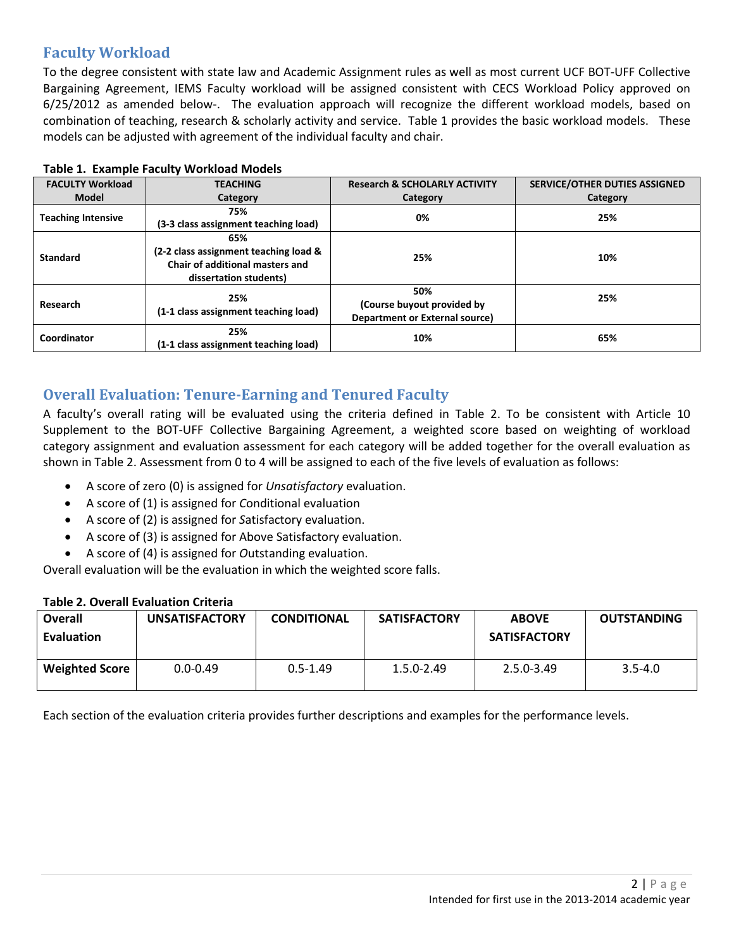# **Faculty Workload**

To the degree consistent with state law and Academic Assignment rules as well as most current UCF BOT-UFF Collective Bargaining Agreement, IEMS Faculty workload will be assigned consistent with CECS Workload Policy approved on 6/25/2012 as amended below-. The evaluation approach will recognize the different workload models, based on combination of teaching, research & scholarly activity and service. Table 1 provides the basic workload models. These models can be adjusted with agreement of the individual faculty and chair.

| <b>FACULTY Workload</b>   | <b>TEACHING</b>                       | <b>Research &amp; SCHOLARLY ACTIVITY</b> | <b>SERVICE/OTHER DUTIES ASSIGNED</b> |  |  |
|---------------------------|---------------------------------------|------------------------------------------|--------------------------------------|--|--|
| <b>Model</b>              | Category                              | Category                                 | Category                             |  |  |
| <b>Teaching Intensive</b> | 75%                                   | 0%                                       | 25%                                  |  |  |
|                           | (3-3 class assignment teaching load)  |                                          |                                      |  |  |
|                           | 65%                                   |                                          |                                      |  |  |
| <b>Standard</b>           | (2-2 class assignment teaching load & | 25%                                      | 10%                                  |  |  |
|                           | Chair of additional masters and       |                                          |                                      |  |  |
|                           | dissertation students)                |                                          |                                      |  |  |
| <b>Research</b>           | 25%                                   | 50%                                      | 25%                                  |  |  |
|                           | (1-1 class assignment teaching load)  | (Course buyout provided by               |                                      |  |  |
|                           |                                       | Department or External source)           |                                      |  |  |
| Coordinator               | 25%                                   | 10%                                      | 65%                                  |  |  |
|                           | (1-1 class assignment teaching load)  |                                          |                                      |  |  |

#### **Table 1. Example Faculty Workload Models**

# **Overall Evaluation: Tenure-Earning and Tenured Faculty**

A faculty's overall rating will be evaluated using the criteria defined in Table 2. To be consistent with Article 10 Supplement to the BOT-UFF Collective Bargaining Agreement, a weighted score based on weighting of workload category assignment and evaluation assessment for each category will be added together for the overall evaluation as shown in Table 2. Assessment from 0 to 4 will be assigned to each of the five levels of evaluation as follows:

- A score of zero (0) is assigned for *Unsatisfactory* evaluation.
- A score of (1) is assigned for *C*onditional evaluation
- A score of (2) is assigned for *S*atisfactory evaluation.
- A score of (3) is assigned for Above Satisfactory evaluation.
- A score of (4) is assigned for *O*utstanding evaluation.

Overall evaluation will be the evaluation in which the weighted score falls.

#### **Table 2. Overall Evaluation Criteria**

| <b>Overall</b><br><b>Evaluation</b> | <b>UNSATISFACTORY</b> | <b>CONDITIONAL</b> | <b>SATISFACTORY</b> | <b>ABOVE</b><br><b>SATISFACTORY</b> | <b>OUTSTANDING</b> |
|-------------------------------------|-----------------------|--------------------|---------------------|-------------------------------------|--------------------|
| <b>Weighted Score</b>               | $0.0 - 0.49$          | $0.5 - 1.49$       | $1.5.0 - 2.49$      | $2.5.0 - 3.49$                      | $3.5 - 4.0$        |

Each section of the evaluation criteria provides further descriptions and examples for the performance levels.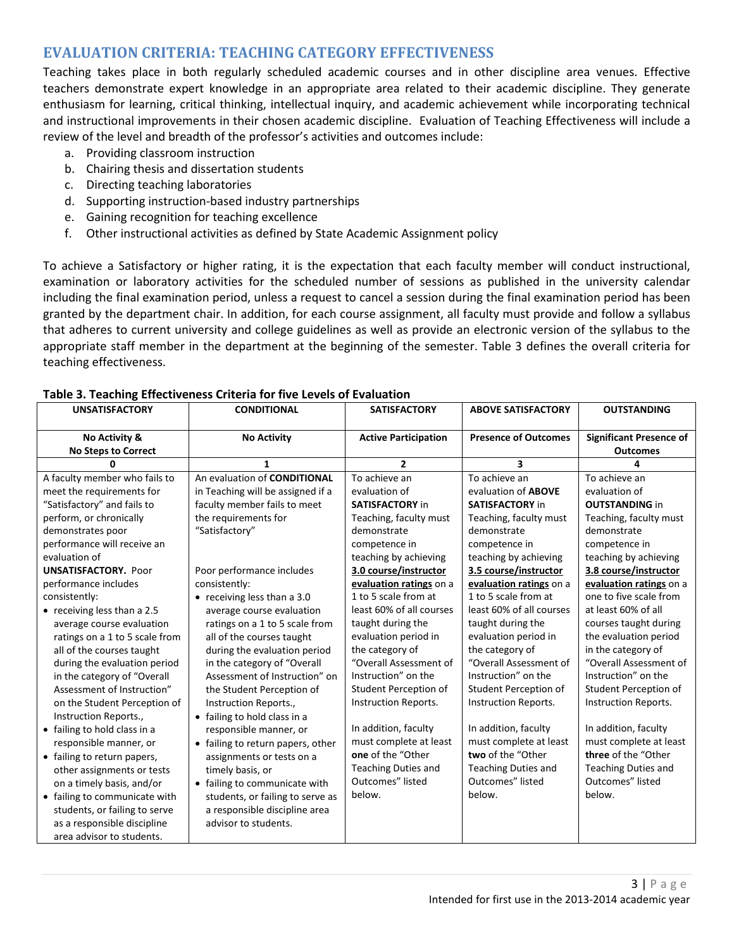### **EVALUATION CRITERIA: TEACHING CATEGORY EFFECTIVENESS**

Teaching takes place in both regularly scheduled academic courses and in other discipline area venues. Effective teachers demonstrate expert knowledge in an appropriate area related to their academic discipline. They generate enthusiasm for learning, critical thinking, intellectual inquiry, and academic achievement while incorporating technical and instructional improvements in their chosen academic discipline.Evaluation of Teaching Effectiveness will include a review of the level and breadth of the professor's activities and outcomes include:

- a. Providing classroom instruction
- b. Chairing thesis and dissertation students
- c. Directing teaching laboratories
- d. Supporting instruction-based industry partnerships
- e. Gaining recognition for teaching excellence
- f. Other instructional activities as defined by State Academic Assignment policy

To achieve a Satisfactory or higher rating, it is the expectation that each faculty member will conduct instructional, examination or laboratory activities for the scheduled number of sessions as published in the university calendar including the final examination period, unless a request to cancel a session during the final examination period has been granted by the department chair. In addition, for each course assignment, all faculty must provide and follow a syllabus that adheres to current university and college guidelines as well as provide an electronic version of the syllabus to the appropriate staff member in the department at the beginning of the semester. Table 3 defines the overall criteria for teaching effectiveness.

| <b>UNSATISFACTORY</b>                                                                                                                                                                                                                                                                                                                                                                                                                                                                                                                                                                                                                                                                                                                                                                                   | <b>CONDITIONAL</b>                                                                                                                                                                                                                                                                                                                                                                                                                                                                                                                                                                                                                                                                                                                                              | <b>SATISFACTORY</b>                                                                                                                                                                                                                                                                                                                                                                                                                                                                                                                                      | <b>ABOVE SATISFACTORY</b>                                                                                                                                                                                                                                                                                                                                                                                                                                                                                                                                             | <b>OUTSTANDING</b>                                                                                                                                                                                                                                                                                                                                                                                                                                                                                                                                             |
|---------------------------------------------------------------------------------------------------------------------------------------------------------------------------------------------------------------------------------------------------------------------------------------------------------------------------------------------------------------------------------------------------------------------------------------------------------------------------------------------------------------------------------------------------------------------------------------------------------------------------------------------------------------------------------------------------------------------------------------------------------------------------------------------------------|-----------------------------------------------------------------------------------------------------------------------------------------------------------------------------------------------------------------------------------------------------------------------------------------------------------------------------------------------------------------------------------------------------------------------------------------------------------------------------------------------------------------------------------------------------------------------------------------------------------------------------------------------------------------------------------------------------------------------------------------------------------------|----------------------------------------------------------------------------------------------------------------------------------------------------------------------------------------------------------------------------------------------------------------------------------------------------------------------------------------------------------------------------------------------------------------------------------------------------------------------------------------------------------------------------------------------------------|-----------------------------------------------------------------------------------------------------------------------------------------------------------------------------------------------------------------------------------------------------------------------------------------------------------------------------------------------------------------------------------------------------------------------------------------------------------------------------------------------------------------------------------------------------------------------|----------------------------------------------------------------------------------------------------------------------------------------------------------------------------------------------------------------------------------------------------------------------------------------------------------------------------------------------------------------------------------------------------------------------------------------------------------------------------------------------------------------------------------------------------------------|
| No Activity &<br><b>No Steps to Correct</b>                                                                                                                                                                                                                                                                                                                                                                                                                                                                                                                                                                                                                                                                                                                                                             | <b>No Activity</b>                                                                                                                                                                                                                                                                                                                                                                                                                                                                                                                                                                                                                                                                                                                                              | <b>Active Participation</b>                                                                                                                                                                                                                                                                                                                                                                                                                                                                                                                              | <b>Presence of Outcomes</b>                                                                                                                                                                                                                                                                                                                                                                                                                                                                                                                                           | <b>Significant Presence of</b><br><b>Outcomes</b>                                                                                                                                                                                                                                                                                                                                                                                                                                                                                                              |
| 0                                                                                                                                                                                                                                                                                                                                                                                                                                                                                                                                                                                                                                                                                                                                                                                                       | 1                                                                                                                                                                                                                                                                                                                                                                                                                                                                                                                                                                                                                                                                                                                                                               | $\overline{2}$                                                                                                                                                                                                                                                                                                                                                                                                                                                                                                                                           | 3                                                                                                                                                                                                                                                                                                                                                                                                                                                                                                                                                                     | 4                                                                                                                                                                                                                                                                                                                                                                                                                                                                                                                                                              |
| A faculty member who fails to<br>meet the requirements for<br>"Satisfactory" and fails to<br>perform, or chronically<br>demonstrates poor<br>performance will receive an<br>evaluation of<br><b>UNSATISFACTORY. Poor</b><br>performance includes<br>consistently:<br>• receiving less than a 2.5<br>average course evaluation<br>ratings on a 1 to 5 scale from<br>all of the courses taught<br>during the evaluation period<br>in the category of "Overall<br>Assessment of Instruction"<br>on the Student Perception of<br>Instruction Reports.,<br>• failing to hold class in a<br>responsible manner, or<br>• failing to return papers,<br>other assignments or tests<br>on a timely basis, and/or<br>• failing to communicate with<br>students, or failing to serve<br>as a responsible discipline | An evaluation of <b>CONDITIONAL</b><br>in Teaching will be assigned if a<br>faculty member fails to meet<br>the requirements for<br>"Satisfactory"<br>Poor performance includes<br>consistently:<br>• receiving less than a 3.0<br>average course evaluation<br>ratings on a 1 to 5 scale from<br>all of the courses taught<br>during the evaluation period<br>in the category of "Overall<br>Assessment of Instruction" on<br>the Student Perception of<br>Instruction Reports.,<br>• failing to hold class in a<br>responsible manner, or<br>• failing to return papers, other<br>assignments or tests on a<br>timely basis, or<br>• failing to communicate with<br>students, or failing to serve as<br>a responsible discipline area<br>advisor to students. | To achieve an<br>evaluation of<br><b>SATISFACTORY in</b><br>Teaching, faculty must<br>demonstrate<br>competence in<br>teaching by achieving<br>3.0 course/instructor<br>evaluation ratings on a<br>1 to 5 scale from at<br>least 60% of all courses<br>taught during the<br>evaluation period in<br>the category of<br>"Overall Assessment of<br>Instruction" on the<br>Student Perception of<br>Instruction Reports.<br>In addition, faculty<br>must complete at least<br>one of the "Other<br><b>Teaching Duties and</b><br>Outcomes" listed<br>below. | To achieve an<br>evaluation of <b>ABOVE</b><br><b>SATISFACTORY in</b><br>Teaching, faculty must<br>demonstrate<br>competence in<br>teaching by achieving<br>3.5 course/instructor<br>evaluation ratings on a<br>1 to 5 scale from at<br>least 60% of all courses<br>taught during the<br>evaluation period in<br>the category of<br>"Overall Assessment of<br>Instruction" on the<br>Student Perception of<br>Instruction Reports.<br>In addition, faculty<br>must complete at least<br>two of the "Other<br><b>Teaching Duties and</b><br>Outcomes" listed<br>below. | To achieve an<br>evaluation of<br><b>OUTSTANDING in</b><br>Teaching, faculty must<br>demonstrate<br>competence in<br>teaching by achieving<br>3.8 course/instructor<br>evaluation ratings on a<br>one to five scale from<br>at least 60% of all<br>courses taught during<br>the evaluation period<br>in the category of<br>"Overall Assessment of<br>Instruction" on the<br>Student Perception of<br>Instruction Reports.<br>In addition, faculty<br>must complete at least<br>three of the "Other<br><b>Teaching Duties and</b><br>Outcomes" listed<br>below. |

#### **Table 3. Teaching Effectiveness Criteria for five Levels of Evaluation**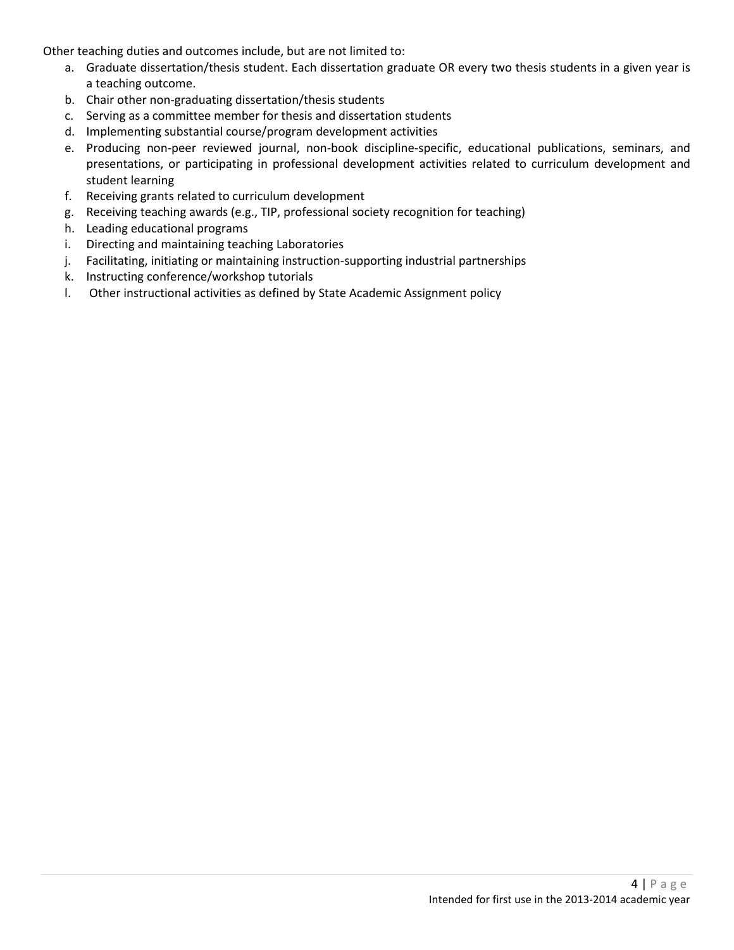Other teaching duties and outcomes include, but are not limited to:

- a. Graduate dissertation/thesis student. Each dissertation graduate OR every two thesis students in a given year is a teaching outcome.
- b. Chair other non-graduating dissertation/thesis students
- c. Serving as a committee member for thesis and dissertation students
- d. Implementing substantial course/program development activities
- e. Producing non-peer reviewed journal, non-book discipline-specific, educational publications, seminars, and presentations, or participating in professional development activities related to curriculum development and student learning
- f. Receiving grants related to curriculum development
- g. Receiving teaching awards (e.g., TIP, professional society recognition for teaching)
- h. Leading educational programs
- i. Directing and maintaining teaching Laboratories
- j. Facilitating, initiating or maintaining instruction-supporting industrial partnerships
- k. Instructing conference/workshop tutorials
- l. Other instructional activities as defined by State Academic Assignment policy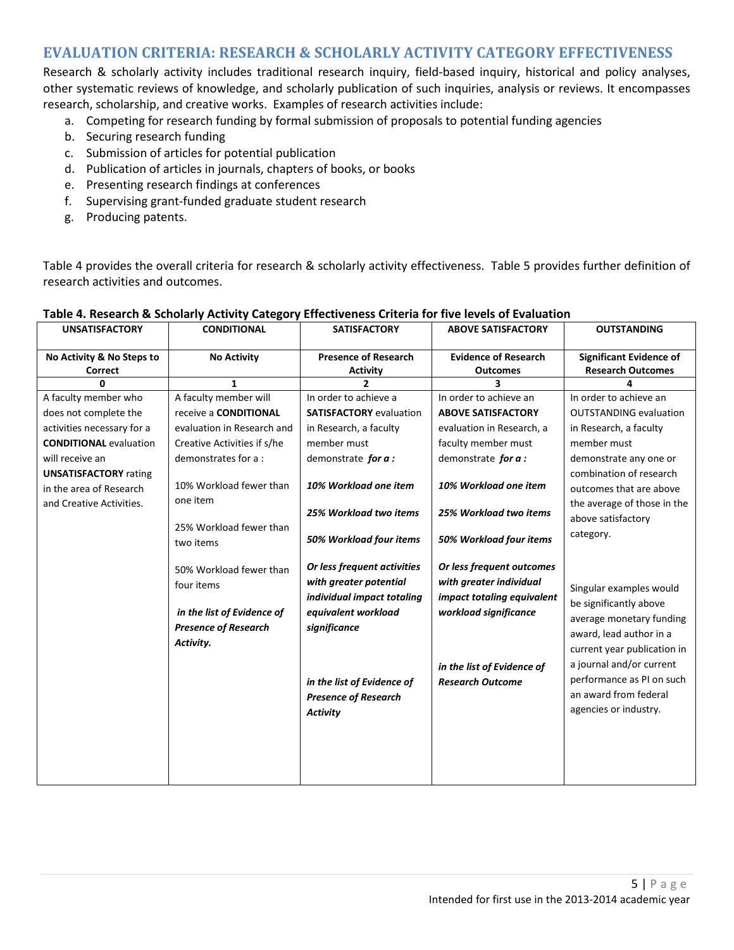### **EVALUATION CRITERIA: RESEARCH & SCHOLARLY ACTIVITY CATEGORY EFFECTIVENESS**

Research & scholarly activity includes traditional research inquiry, field-based inquiry, historical and policy analyses, other systematic reviews of knowledge, and scholarly publication of such inquiries, analysis or reviews. It encompasses research, scholarship, and creative works. Examples of research activities include:

- a. Competing for research funding by formal submission of proposals to potential funding agencies
- b. Securing research funding
- c. Submission of articles for potential publication
- d. Publication of articles in journals, chapters of books, or books
- e. Presenting research findings at conferences
- f. Supervising grant-funded graduate student research
- g. Producing patents.

Table 4 provides the overall criteria for research & scholarly activity effectiveness. Table 5 provides further definition of research activities and outcomes.

| <b>UNSATISFACTORY</b>                                                               | <b>CONDITIONAL</b>                                                                                              | <b>SATISFACTORY</b>                                                                                                                                                                                        | <b>ABOVE SATISFACTORY</b>                                                                                                                                            | <b>OUTSTANDING</b>                                                                                                                                                                                                                                 |
|-------------------------------------------------------------------------------------|-----------------------------------------------------------------------------------------------------------------|------------------------------------------------------------------------------------------------------------------------------------------------------------------------------------------------------------|----------------------------------------------------------------------------------------------------------------------------------------------------------------------|----------------------------------------------------------------------------------------------------------------------------------------------------------------------------------------------------------------------------------------------------|
| No Activity & No Steps to<br><b>Correct</b>                                         | <b>No Activity</b>                                                                                              | <b>Presence of Research</b><br><b>Activity</b>                                                                                                                                                             | <b>Evidence of Research</b><br><b>Outcomes</b>                                                                                                                       | <b>Significant Evidence of</b><br><b>Research Outcomes</b>                                                                                                                                                                                         |
| U                                                                                   | 1                                                                                                               | $\overline{2}$                                                                                                                                                                                             | 3                                                                                                                                                                    |                                                                                                                                                                                                                                                    |
| A faculty member who                                                                | A faculty member will                                                                                           | In order to achieve a                                                                                                                                                                                      | In order to achieve an                                                                                                                                               | In order to achieve an                                                                                                                                                                                                                             |
| does not complete the                                                               | receive a CONDITIONAL                                                                                           | <b>SATISFACTORY</b> evaluation                                                                                                                                                                             | <b>ABOVE SATISFACTORY</b>                                                                                                                                            | <b>OUTSTANDING evaluation</b>                                                                                                                                                                                                                      |
| activities necessary for a                                                          | evaluation in Research and                                                                                      | in Research, a faculty                                                                                                                                                                                     | evaluation in Research, a                                                                                                                                            | in Research, a faculty                                                                                                                                                                                                                             |
| <b>CONDITIONAL evaluation</b>                                                       | Creative Activities if s/he                                                                                     | member must                                                                                                                                                                                                | faculty member must                                                                                                                                                  | member must                                                                                                                                                                                                                                        |
| will receive an                                                                     | demonstrates for a:                                                                                             | demonstrate for a:                                                                                                                                                                                         | demonstrate for a:                                                                                                                                                   | demonstrate any one or                                                                                                                                                                                                                             |
| <b>UNSATISFACTORY rating</b><br>in the area of Research<br>and Creative Activities. | 10% Workload fewer than<br>one item                                                                             | 10% Workload one item<br>25% Workload two items                                                                                                                                                            | 10% Workload one item<br>25% Workload two items                                                                                                                      | combination of research<br>outcomes that are above<br>the average of those in the                                                                                                                                                                  |
|                                                                                     | 25% Workload fewer than<br>two items                                                                            | 50% Workload four items                                                                                                                                                                                    | 50% Workload four items                                                                                                                                              | above satisfactory<br>category.                                                                                                                                                                                                                    |
|                                                                                     | 50% Workload fewer than<br>four items<br>in the list of Evidence of<br><b>Presence of Research</b><br>Activity. | Or less frequent activities<br>with greater potential<br>individual impact totaling<br>equivalent workload<br>significance<br>in the list of Evidence of<br><b>Presence of Research</b><br><b>Activity</b> | Or less frequent outcomes<br>with greater individual<br>impact totaling equivalent<br>workload significance<br>in the list of Evidence of<br><b>Research Outcome</b> | Singular examples would<br>be significantly above<br>average monetary funding<br>award, lead author in a<br>current year publication in<br>a journal and/or current<br>performance as PI on such<br>an award from federal<br>agencies or industry. |

### **Table 4. Research & Scholarly Activity Category Effectiveness Criteria for five levels of Evaluation**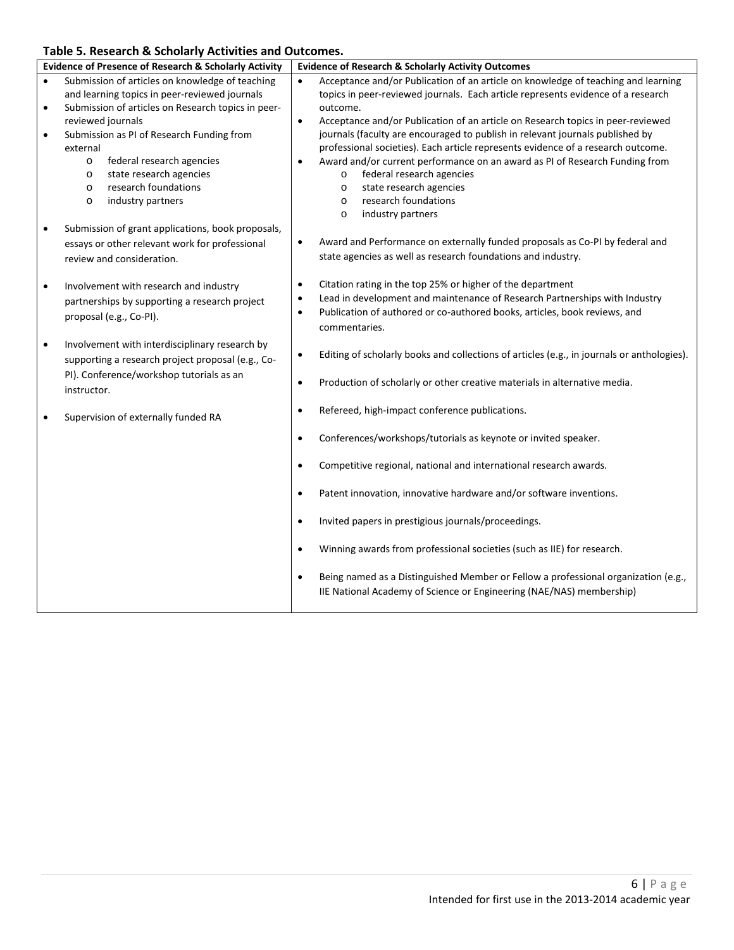### **Table 5. Research & Scholarly Activities and Outcomes.**

| <b>Evidence of Presence of Research &amp; Scholarly Activity</b>                                                                                                                                                                                                                                                                                                                                                             | <b>Evidence of Research &amp; Scholarly Activity Outcomes</b>                                                                                                                                                                                                                                                                                                                                                                                                                                                                                                                                                                                                                                                    |
|------------------------------------------------------------------------------------------------------------------------------------------------------------------------------------------------------------------------------------------------------------------------------------------------------------------------------------------------------------------------------------------------------------------------------|------------------------------------------------------------------------------------------------------------------------------------------------------------------------------------------------------------------------------------------------------------------------------------------------------------------------------------------------------------------------------------------------------------------------------------------------------------------------------------------------------------------------------------------------------------------------------------------------------------------------------------------------------------------------------------------------------------------|
| Submission of articles on knowledge of teaching<br>$\bullet$<br>and learning topics in peer-reviewed journals<br>Submission of articles on Research topics in peer-<br>$\bullet$<br>reviewed journals<br>Submission as PI of Research Funding from<br>$\bullet$<br>external<br>federal research agencies<br>$\circ$<br>state research agencies<br>$\circ$<br>research foundations<br>$\circ$<br>industry partners<br>$\circ$ | Acceptance and/or Publication of an article on knowledge of teaching and learning<br>$\bullet$<br>topics in peer-reviewed journals. Each article represents evidence of a research<br>outcome.<br>Acceptance and/or Publication of an article on Research topics in peer-reviewed<br>$\bullet$<br>journals (faculty are encouraged to publish in relevant journals published by<br>professional societies). Each article represents evidence of a research outcome.<br>Award and/or current performance on an award as PI of Research Funding from<br>$\bullet$<br>federal research agencies<br>$\circ$<br>state research agencies<br>$\circ$<br>research foundations<br>$\circ$<br>industry partners<br>$\circ$ |
| Submission of grant applications, book proposals,<br>$\bullet$<br>essays or other relevant work for professional<br>review and consideration.                                                                                                                                                                                                                                                                                | Award and Performance on externally funded proposals as Co-PI by federal and<br>$\bullet$<br>state agencies as well as research foundations and industry.                                                                                                                                                                                                                                                                                                                                                                                                                                                                                                                                                        |
| Involvement with research and industry<br>$\bullet$<br>partnerships by supporting a research project<br>proposal (e.g., Co-PI).                                                                                                                                                                                                                                                                                              | Citation rating in the top 25% or higher of the department<br>$\bullet$<br>Lead in development and maintenance of Research Partnerships with Industry<br>$\bullet$<br>Publication of authored or co-authored books, articles, book reviews, and<br>$\bullet$<br>commentaries.                                                                                                                                                                                                                                                                                                                                                                                                                                    |
| Involvement with interdisciplinary research by<br>$\bullet$<br>supporting a research project proposal (e.g., Co-<br>PI). Conference/workshop tutorials as an<br>instructor.                                                                                                                                                                                                                                                  | Editing of scholarly books and collections of articles (e.g., in journals or anthologies).<br>$\bullet$<br>Production of scholarly or other creative materials in alternative media.<br>$\bullet$                                                                                                                                                                                                                                                                                                                                                                                                                                                                                                                |
| Supervision of externally funded RA<br>$\bullet$                                                                                                                                                                                                                                                                                                                                                                             | Refereed, high-impact conference publications.<br>$\bullet$                                                                                                                                                                                                                                                                                                                                                                                                                                                                                                                                                                                                                                                      |
|                                                                                                                                                                                                                                                                                                                                                                                                                              | Conferences/workshops/tutorials as keynote or invited speaker.<br>$\bullet$                                                                                                                                                                                                                                                                                                                                                                                                                                                                                                                                                                                                                                      |
|                                                                                                                                                                                                                                                                                                                                                                                                                              | Competitive regional, national and international research awards.<br>$\bullet$                                                                                                                                                                                                                                                                                                                                                                                                                                                                                                                                                                                                                                   |
|                                                                                                                                                                                                                                                                                                                                                                                                                              | Patent innovation, innovative hardware and/or software inventions.<br>$\bullet$                                                                                                                                                                                                                                                                                                                                                                                                                                                                                                                                                                                                                                  |
|                                                                                                                                                                                                                                                                                                                                                                                                                              | Invited papers in prestigious journals/proceedings.<br>$\bullet$                                                                                                                                                                                                                                                                                                                                                                                                                                                                                                                                                                                                                                                 |
|                                                                                                                                                                                                                                                                                                                                                                                                                              | Winning awards from professional societies (such as IIE) for research.<br>$\bullet$                                                                                                                                                                                                                                                                                                                                                                                                                                                                                                                                                                                                                              |
|                                                                                                                                                                                                                                                                                                                                                                                                                              | Being named as a Distinguished Member or Fellow a professional organization (e.g.,<br>$\bullet$<br>IIE National Academy of Science or Engineering (NAE/NAS) membership)                                                                                                                                                                                                                                                                                                                                                                                                                                                                                                                                          |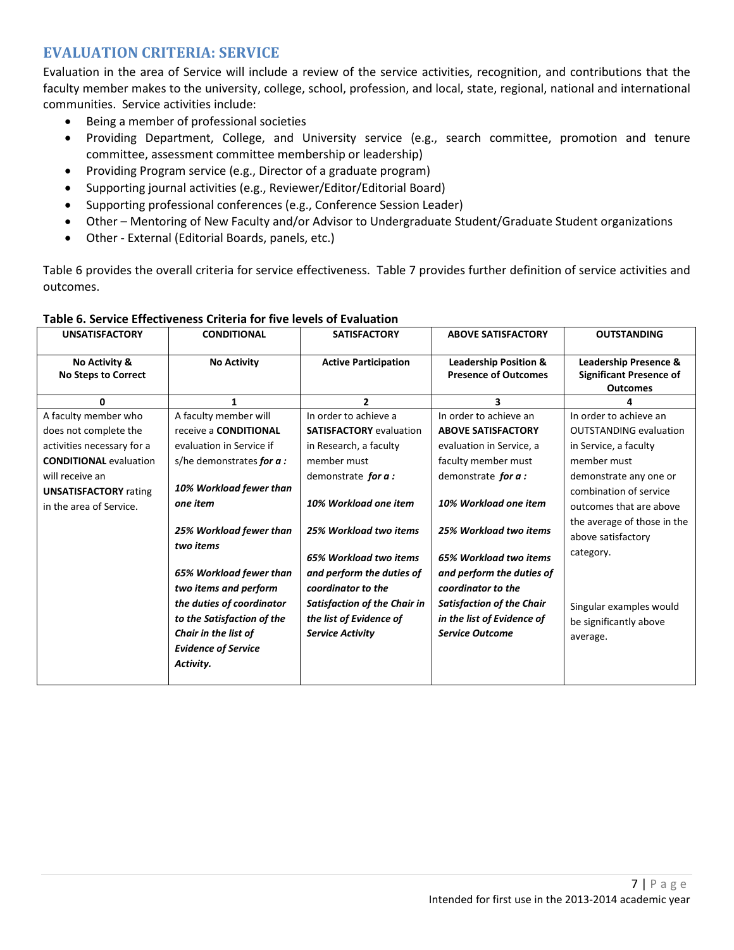# **EVALUATION CRITERIA: SERVICE**

Evaluation in the area of Service will include a review of the service activities, recognition, and contributions that the faculty member makes to the university, college, school, profession, and local, state, regional, national and international communities. Service activities include:

- Being a member of professional societies
- Providing Department, College, and University service (e.g., search committee, promotion and tenure committee, assessment committee membership or leadership)
- Providing Program service (e.g., Director of a graduate program)
- Supporting journal activities (e.g., Reviewer/Editor/Editorial Board)
- Supporting professional conferences (e.g., Conference Session Leader)
- Other Mentoring of New Faculty and/or Advisor to Undergraduate Student/Graduate Student organizations
- Other External (Editorial Boards, panels, etc.)

Table 6 provides the overall criteria for service effectiveness. Table 7 provides further definition of service activities and outcomes.

| <b>UNSATISFACTORY</b>                                   | <b>CONDITIONAL</b>                                                                                                                                                                                                                                            | <b>SATISFACTORY</b>                                                                                                                                                                                                | <b>ABOVE SATISFACTORY</b>                                                                                                                                                                                         | <b>OUTSTANDING</b>                                                                                                                                                                   |
|---------------------------------------------------------|---------------------------------------------------------------------------------------------------------------------------------------------------------------------------------------------------------------------------------------------------------------|--------------------------------------------------------------------------------------------------------------------------------------------------------------------------------------------------------------------|-------------------------------------------------------------------------------------------------------------------------------------------------------------------------------------------------------------------|--------------------------------------------------------------------------------------------------------------------------------------------------------------------------------------|
| No Activity &<br><b>No Steps to Correct</b>             | <b>No Activity</b>                                                                                                                                                                                                                                            | <b>Active Participation</b>                                                                                                                                                                                        | <b>Leadership Position &amp;</b><br><b>Presence of Outcomes</b>                                                                                                                                                   | <b>Leadership Presence &amp;</b><br><b>Significant Presence of</b><br><b>Outcomes</b>                                                                                                |
| $\mathbf{0}$                                            | 1                                                                                                                                                                                                                                                             | $\overline{2}$                                                                                                                                                                                                     | 3.                                                                                                                                                                                                                | 4                                                                                                                                                                                    |
| A faculty member who                                    | A faculty member will                                                                                                                                                                                                                                         | In order to achieve a                                                                                                                                                                                              | In order to achieve an                                                                                                                                                                                            | In order to achieve an                                                                                                                                                               |
| does not complete the                                   | receive a <b>CONDITIONAL</b>                                                                                                                                                                                                                                  | <b>SATISFACTORY</b> evaluation                                                                                                                                                                                     | <b>ABOVE SATISFACTORY</b>                                                                                                                                                                                         | <b>OUTSTANDING evaluation</b>                                                                                                                                                        |
| activities necessary for a                              | evaluation in Service if                                                                                                                                                                                                                                      | in Research, a faculty                                                                                                                                                                                             | evaluation in Service, a                                                                                                                                                                                          | in Service, a faculty                                                                                                                                                                |
| <b>CONDITIONAL evaluation</b>                           | s/he demonstrates for $a$ :                                                                                                                                                                                                                                   | member must                                                                                                                                                                                                        | faculty member must                                                                                                                                                                                               | member must                                                                                                                                                                          |
| will receive an                                         |                                                                                                                                                                                                                                                               | demonstrate for a:                                                                                                                                                                                                 | demonstrate for a:                                                                                                                                                                                                | demonstrate any one or                                                                                                                                                               |
| <b>UNSATISFACTORY</b> rating<br>in the area of Service. | 10% Workload fewer than<br>one item<br>25% Workload fewer than<br>two items<br>65% Workload fewer than<br>two items and perform<br>the duties of coordinator<br>to the Satisfaction of the<br>Chair in the list of<br><b>Evidence of Service</b><br>Activity. | 10% Workload one item<br>25% Workload two items<br>65% Workload two items<br>and perform the duties of<br>coordinator to the<br>Satisfaction of the Chair in<br>the list of Evidence of<br><b>Service Activity</b> | 10% Workload one item<br>25% Workload two items<br>65% Workload two items<br>and perform the duties of<br>coordinator to the<br>Satisfaction of the Chair<br>in the list of Evidence of<br><b>Service Outcome</b> | combination of service<br>outcomes that are above<br>the average of those in the<br>above satisfactory<br>category.<br>Singular examples would<br>be significantly above<br>average. |

#### **Table 6. Service Effectiveness Criteria for five levels of Evaluation**